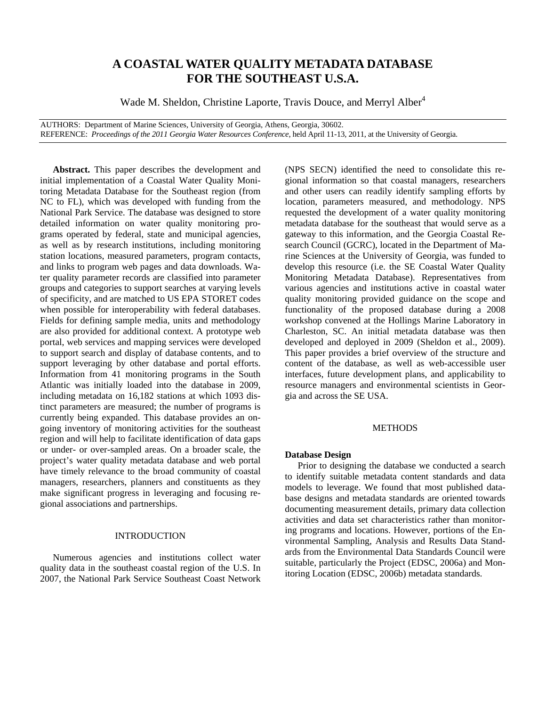# **A COASTAL WATER QUALITY METADATA DATABASE FOR THE SOUTHEAST U.S.A.**

Wade M. Sheldon, Christine Laporte, Travis Douce, and Merryl Alber<sup>4</sup>

AUTHORS: Department of Marine Sciences, University of Georgia, Athens, Georgia, 30602. REFERENCE: *Proceedings of the 2011 Georgia Water Resources Conference*, held April 11-13, 2011, at the University of Georgia.

**Abstract.** This paper describes the development and initial implementation of a Coastal Water Quality Monitoring Metadata Database for the Southeast region (from NC to FL), which was developed with funding from the National Park Service. The database was designed to store detailed information on water quality monitoring programs operated by federal, state and municipal agencies, as well as by research institutions, including monitoring station locations, measured parameters, program contacts, and links to program web pages and data downloads. Water quality parameter records are classified into parameter groups and categories to support searches at varying levels of specificity, and are matched to US EPA STORET codes when possible for interoperability with federal databases. Fields for defining sample media, units and methodology are also provided for additional context. A prototype web portal, web services and mapping services were developed to support search and display of database contents, and to support leveraging by other database and portal efforts. Information from 41 monitoring programs in the South Atlantic was initially loaded into the database in 2009, including metadata on 16,182 stations at which 1093 distinct parameters are measured; the number of programs is currently being expanded. This database provides an ongoing inventory of monitoring activities for the southeast region and will help to facilitate identification of data gaps or under- or over-sampled areas. On a broader scale, the project's water quality metadata database and web portal have timely relevance to the broad community of coastal managers, researchers, planners and constituents as they make significant progress in leveraging and focusing regional associations and partnerships.

# INTRODUCTION

Numerous agencies and institutions collect water quality data in the southeast coastal region of the U.S. In 2007, the National Park Service Southeast Coast Network

(NPS SECN) identified the need to consolidate this regional information so that coastal managers, researchers and other users can readily identify sampling efforts by location, parameters measured, and methodology. NPS requested the development of a water quality monitoring metadata database for the southeast that would serve as a gateway to this information, and the Georgia Coastal Research Council (GCRC), located in the Department of Marine Sciences at the University of Georgia, was funded to develop this resource (i.e. the SE Coastal Water Quality Monitoring Metadata Database). Representatives from various agencies and institutions active in coastal water quality monitoring provided guidance on the scope and functionality of the proposed database during a 2008 workshop convened at the Hollings Marine Laboratory in Charleston, SC. An initial metadata database was then developed and deployed in 2009 (Sheldon et al., 2009). This paper provides a brief overview of the structure and content of the database, as well as web-accessible user interfaces, future development plans, and applicability to resource managers and environmental scientists in Georgia and across the SE USA.

# **METHODS**

### **Database Design**

Prior to designing the database we conducted a search to identify suitable metadata content standards and data models to leverage. We found that most published database designs and metadata standards are oriented towards documenting measurement details, primary data collection activities and data set characteristics rather than monitoring programs and locations. However, portions of the Environmental Sampling, Analysis and Results Data Standards from the Environmental Data Standards Council were suitable, particularly the Project (EDSC, 2006a) and Monitoring Location (EDSC, 2006b) metadata standards.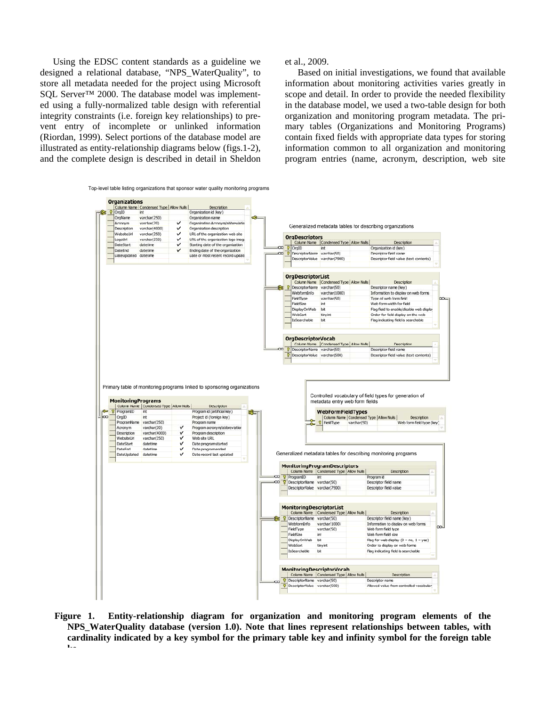Using the EDSC content standards as a guideline we designed a relational database, "NPS\_WaterQuality", to store all metadata needed for the project using Microsoft SOL Server<sup>™</sup> 2000. The database model was implemented using a fully-normalized table design with referential integrity constraints (i.e. foreign key relationships) to prevent entry of incomplete or unlinked information (Riordan, 1999). Select portions of the database model are illustrated as entity-relationship diagrams below (figs.1-2), and the complete design is described in detail in Sheldon et al., 2009.

Based on initial investigations, we found that available information about monitoring activities varies greatly in scope and detail. In order to provide the needed flexibility in the database model, we used a two-table design for both organization and monitoring program metadata. The primary tables (Organizations and Monitoring Programs) contain fixed fields with appropriate data types for storing information common to all organization and monitoring program entries (name, acronym, description, web site



**Figure 1. Entity-relationship diagram for organization and monitoring program elements of the NPS\_WaterQuality database (version 1.0). Note that lines represent relationships between tables, with cardinality indicated by a key symbol for the primary table key and infinity symbol for the foreign table ke**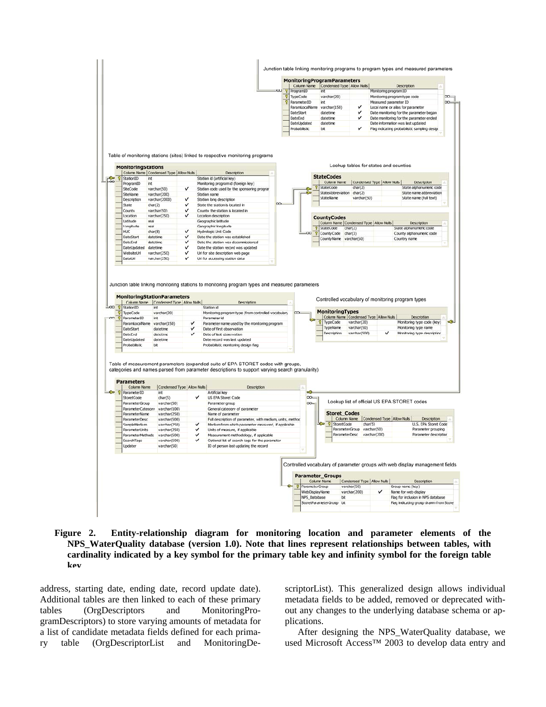

**Figure 2. Entity-relationship diagram for monitoring location and parameter elements of the NPS\_WaterQuality database (version 1.0). Note that lines represent relationships between tables, with cardinality indicated by a key symbol for the primary table key and infinity symbol for the foreign table key**

address, starting date, ending date, record update date). Additional tables are then linked to each of these primary tables (OrgDescriptors and MonitoringProgramDescriptors) to store varying amounts of metadata for a list of candidate metadata fields defined for each primary table (OrgDescriptorList and MonitoringDe-

scriptorList). This generalized design allows individual metadata fields to be added, removed or deprecated without any changes to the underlying database schema or applications.

After designing the NPS\_WaterQuality database, we used Microsoft Access™ 2003 to develop data entry and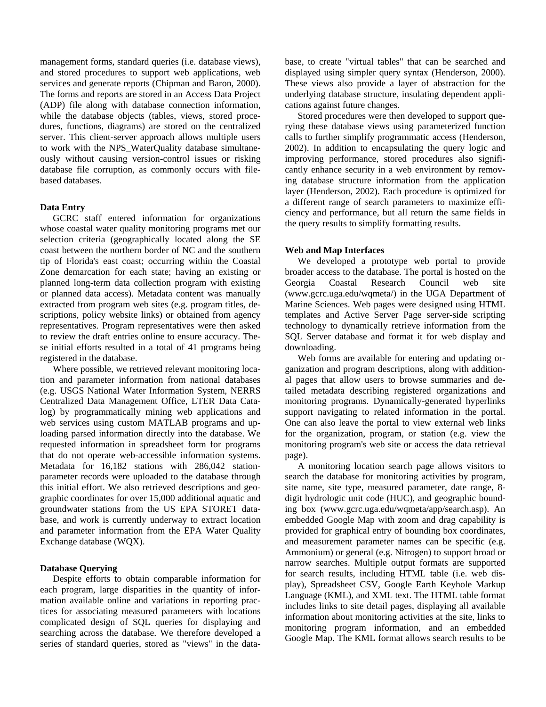management forms, standard queries (i.e. database views), and stored procedures to support web applications, web services and generate reports (Chipman and Baron, 2000). The forms and reports are stored in an Access Data Project (ADP) file along with database connection information, while the database objects (tables, views, stored procedures, functions, diagrams) are stored on the centralized server. This client-server approach allows multiple users to work with the NPS\_WaterQuality database simultaneously without causing version-control issues or risking database file corruption, as commonly occurs with filebased databases.

## **Data Entry**

GCRC staff entered information for organizations whose coastal water quality monitoring programs met our selection criteria (geographically located along the SE coast between the northern border of NC and the southern tip of Florida's east coast; occurring within the Coastal Zone demarcation for each state; having an existing or planned long-term data collection program with existing or planned data access). Metadata content was manually extracted from program web sites (e.g. program titles, descriptions, policy website links) or obtained from agency representatives. Program representatives were then asked to review the draft entries online to ensure accuracy. These initial efforts resulted in a total of 41 programs being registered in the database.

Where possible, we retrieved relevant monitoring location and parameter information from national databases (e.g. USGS National Water Information System, NERRS Centralized Data Management Office, LTER Data Catalog) by programmatically mining web applications and web services using custom MATLAB programs and uploading parsed information directly into the database. We requested information in spreadsheet form for programs that do not operate web-accessible information systems. Metadata for 16,182 stations with 286,042 stationparameter records were uploaded to the database through this initial effort. We also retrieved descriptions and geographic coordinates for over 15,000 additional aquatic and groundwater stations from the US EPA STORET database, and work is currently underway to extract location and parameter information from the EPA Water Quality Exchange database (WQX).

#### **Database Querying**

Despite efforts to obtain comparable information for each program, large disparities in the quantity of information available online and variations in reporting practices for associating measured parameters with locations complicated design of SQL queries for displaying and searching across the database. We therefore developed a series of standard queries, stored as "views" in the data-

base, to create "virtual tables" that can be searched and displayed using simpler query syntax (Henderson, 2000). These views also provide a layer of abstraction for the underlying database structure, insulating dependent applications against future changes.

Stored procedures were then developed to support querying these database views using parameterized function calls to further simplify programmatic access (Henderson, 2002). In addition to encapsulating the query logic and improving performance, stored procedures also significantly enhance security in a web environment by removing database structure information from the application layer (Henderson, 2002). Each procedure is optimized for a different range of search parameters to maximize efficiency and performance, but all return the same fields in the query results to simplify formatting results.

#### **Web and Map Interfaces**

We developed a prototype web portal to provide broader access to the database. The portal is hosted on the Georgia Coastal Research Council web site (www.gcrc.uga.edu/wqmeta/) in the UGA Department of Marine Sciences. Web pages were designed using HTML templates and Active Server Page server-side scripting technology to dynamically retrieve information from the SQL Server database and format it for web display and downloading.

Web forms are available for entering and updating organization and program descriptions, along with additional pages that allow users to browse summaries and detailed metadata describing registered organizations and monitoring programs. Dynamically-generated hyperlinks support navigating to related information in the portal. One can also leave the portal to view external web links for the organization, program, or station (e.g. view the monitoring program's web site or access the data retrieval page).

A monitoring location search page allows visitors to search the database for monitoring activities by program, site name, site type, measured parameter, date range, 8 digit hydrologic unit code (HUC), and geographic bounding box (www.gcrc.uga.edu/wqmeta/app/search.asp). An embedded Google Map with zoom and drag capability is provided for graphical entry of bounding box coordinates, and measurement parameter names can be specific (e.g. Ammonium) or general (e.g. Nitrogen) to support broad or narrow searches. Multiple output formats are supported for search results, including HTML table (i.e. web display), Spreadsheet CSV, Google Earth Keyhole Markup Language (KML), and XML text. The HTML table format includes links to site detail pages, displaying all available information about monitoring activities at the site, links to monitoring program information, and an embedded Google Map. The KML format allows search results to be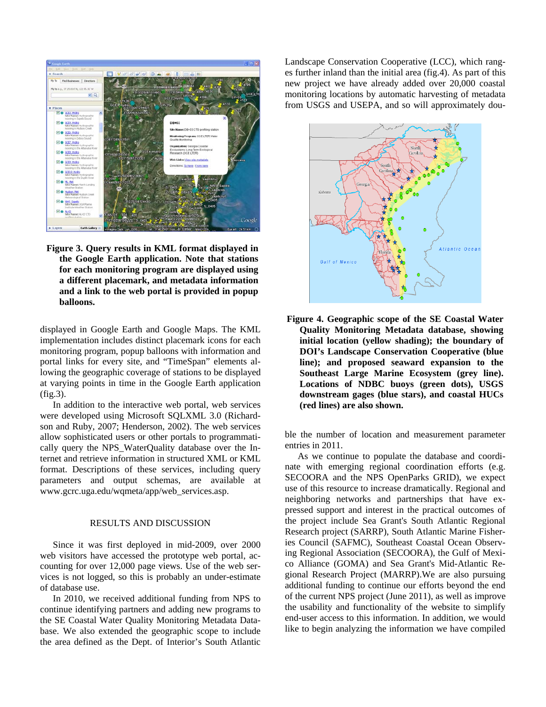

**Figure 3. Query results in KML format displayed in the Google Earth application. Note that stations for each monitoring program are displayed using a different placemark, and metadata information and a link to the web portal is provided in popup balloons.** 

displayed in Google Earth and Google Maps. The KML implementation includes distinct placemark icons for each monitoring program, popup balloons with information and portal links for every site, and "TimeSpan" elements allowing the geographic coverage of stations to be displayed at varying points in time in the Google Earth application (fig.3).

In addition to the interactive web portal, web services were developed using Microsoft SQLXML 3.0 (Richardson and Ruby, 2007; Henderson, 2002). The web services allow sophisticated users or other portals to programmatically query the NPS\_WaterQuality database over the Internet and retrieve information in structured XML or KML format. Descriptions of these services, including query parameters and output schemas, are available at www.gcrc.uga.edu/wqmeta/app/web\_services.asp.

#### RESULTS AND DISCUSSION

Since it was first deployed in mid-2009, over 2000 web visitors have accessed the prototype web portal, accounting for over 12,000 page views. Use of the web services is not logged, so this is probably an under-estimate of database use.

In 2010, we received additional funding from NPS to continue identifying partners and adding new programs to the SE Coastal Water Quality Monitoring Metadata Database. We also extended the geographic scope to include the area defined as the Dept. of Interior's South Atlantic Landscape Conservation Cooperative (LCC), which ranges further inland than the initial area (fig.4). As part of this new project we have already added over 20,000 coastal monitoring locations by automatic harvesting of metadata from USGS and USEPA, and so will approximately dou-



**Figure 4. Geographic scope of the SE Coastal Water Quality Monitoring Metadata database, showing initial location (yellow shading); the boundary of DOI's Landscape Conservation Cooperative (blue line); and proposed seaward expansion to the Southeast Large Marine Ecosystem (grey line). Locations of NDBC buoys (green dots), USGS downstream gages (blue stars), and coastal HUCs (red lines) are also shown.** 

ble the number of location and measurement parameter entries in 2011.

As we continue to populate the database and coordinate with emerging regional coordination efforts (e.g. SECOORA and the NPS OpenParks GRID), we expect use of this resource to increase dramatically. Regional and neighboring networks and partnerships that have expressed support and interest in the practical outcomes of the project include Sea Grant's South Atlantic Regional Research project (SARRP), South Atlantic Marine Fisheries Council (SAFMC), Southeast Coastal Ocean Observing Regional Association (SECOORA), the Gulf of Mexico Alliance (GOMA) and Sea Grant's Mid-Atlantic Regional Research Project (MARRP).We are also pursuing additional funding to continue our efforts beyond the end of the current NPS project (June 2011), as well as improve the usability and functionality of the website to simplify end-user access to this information. In addition, we would like to begin analyzing the information we have compiled